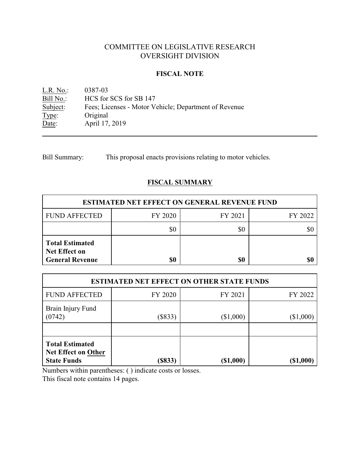# COMMITTEE ON LEGISLATIVE RESEARCH OVERSIGHT DIVISION

# **FISCAL NOTE**

L.R. No.: 0387-03<br>Bill No.: HCS for Bill No.: HCS for SCS for SB 147<br>Subject: Fees; Licenses - Motor V Subject: Fees; Licenses - Motor Vehicle; Department of Revenue<br>Type: Original Type: Original<br>Date: April 17, April 17, 2019

Bill Summary: This proposal enacts provisions relating to motor vehicles.

# **FISCAL SUMMARY**

| <b>ESTIMATED NET EFFECT ON GENERAL REVENUE FUND</b>                      |         |         |         |  |
|--------------------------------------------------------------------------|---------|---------|---------|--|
| <b>FUND AFFECTED</b>                                                     | FY 2020 | FY 2021 | FY 2022 |  |
|                                                                          |         | \$0     |         |  |
| <b>Total Estimated</b><br><b>Net Effect on</b><br><b>General Revenue</b> | \$0     | \$0     |         |  |

| <b>ESTIMATED NET EFFECT ON OTHER STATE FUNDS</b>                           |           |           |            |  |
|----------------------------------------------------------------------------|-----------|-----------|------------|--|
| <b>FUND AFFECTED</b>                                                       | FY 2020   | FY 2021   | FY 2022    |  |
| Brain Injury Fund<br>(0742)                                                | $(\$833)$ | (\$1,000) | (\$1,000)  |  |
| <b>Total Estimated</b><br><b>Net Effect on Other</b><br><b>State Funds</b> | (S833)    | (\$1,000) | ( \$1,000) |  |

Numbers within parentheses: ( ) indicate costs or losses.

This fiscal note contains 14 pages.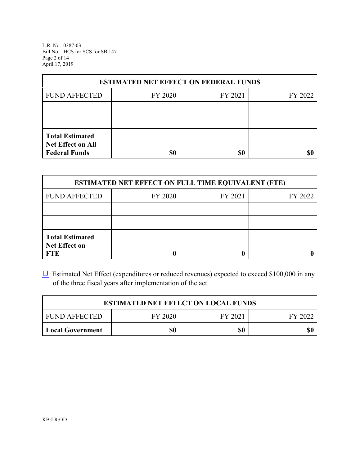L.R. No. 0387-03 Bill No. HCS for SCS for SB 147 Page 2 of 14 April 17, 2019

| <b>ESTIMATED NET EFFECT ON FEDERAL FUNDS</b>                        |         |         |         |  |
|---------------------------------------------------------------------|---------|---------|---------|--|
| <b>FUND AFFECTED</b>                                                | FY 2020 | FY 2021 | FY 2022 |  |
|                                                                     |         |         |         |  |
|                                                                     |         |         |         |  |
| <b>Total Estimated</b><br>Net Effect on All<br><b>Federal Funds</b> | \$0     | \$0     |         |  |

| <b>ESTIMATED NET EFFECT ON FULL TIME EQUIVALENT (FTE)</b>    |         |         |         |  |
|--------------------------------------------------------------|---------|---------|---------|--|
| <b>FUND AFFECTED</b>                                         | FY 2020 | FY 2021 | FY 2022 |  |
|                                                              |         |         |         |  |
|                                                              |         |         |         |  |
| <b>Total Estimated</b><br><b>Net Effect on</b><br><b>FTE</b> |         |         |         |  |

 $\Box$  Estimated Net Effect (expenditures or reduced revenues) expected to exceed \$100,000 in any of the three fiscal years after implementation of the act.

| <b>ESTIMATED NET EFFECT ON LOCAL FUNDS</b> |         |         |         |
|--------------------------------------------|---------|---------|---------|
| <b>FUND AFFECTED</b>                       | FY 2020 | FY 2021 | FY 2022 |
| <b>Local Government</b>                    | \$0     | \$0     | \$0     |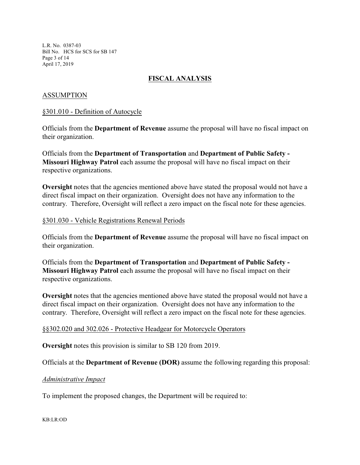L.R. No. 0387-03 Bill No. HCS for SCS for SB 147 Page 3 of 14 April 17, 2019

# **FISCAL ANALYSIS**

# ASSUMPTION

### §301.010 - Definition of Autocycle

Officials from the **Department of Revenue** assume the proposal will have no fiscal impact on their organization.

Officials from the **Department of Transportation** and **Department of Public Safety - Missouri Highway Patrol** each assume the proposal will have no fiscal impact on their respective organizations.

**Oversight** notes that the agencies mentioned above have stated the proposal would not have a direct fiscal impact on their organization. Oversight does not have any information to the contrary. Therefore, Oversight will reflect a zero impact on the fiscal note for these agencies.

#### §301.030 - Vehicle Registrations Renewal Periods

Officials from the **Department of Revenue** assume the proposal will have no fiscal impact on their organization.

Officials from the **Department of Transportation** and **Department of Public Safety - Missouri Highway Patrol** each assume the proposal will have no fiscal impact on their respective organizations.

**Oversight** notes that the agencies mentioned above have stated the proposal would not have a direct fiscal impact on their organization. Oversight does not have any information to the contrary. Therefore, Oversight will reflect a zero impact on the fiscal note for these agencies.

# §§302.020 and 302.026 - Protective Headgear for Motorcycle Operators

**Oversight** notes this provision is similar to SB 120 from 2019.

Officials at the **Department of Revenue (DOR)** assume the following regarding this proposal:

# *Administrative Impact*

To implement the proposed changes, the Department will be required to:

#### KB:LR:OD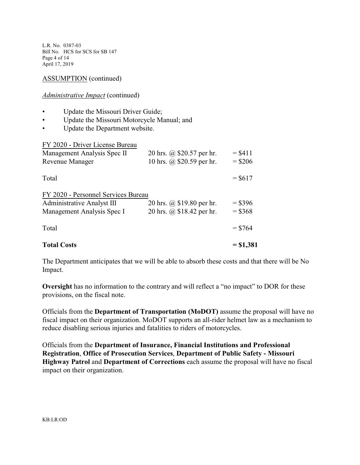L.R. No. 0387-03 Bill No. HCS for SCS for SB 147 Page 4 of 14 April 17, 2019

ASSUMPTION (continued)

#### *Administrative Impact* (continued)

- Update the Missouri Driver Guide;
- Update the Missouri Motorcycle Manual; and
- Update the Department website.

| <b>Total Costs</b>                                                       |                                                        | $= $1,381$            |
|--------------------------------------------------------------------------|--------------------------------------------------------|-----------------------|
| Total                                                                    |                                                        | $=$ \$764             |
| Management Analysis Spec I                                               | 20 hrs. @ \$18.42 per hr.                              | $= $368$              |
| FY 2020 - Personnel Services Bureau<br><b>Administrative Analyst III</b> | 20 hrs. @ \$19.80 per hr.                              | $=$ \$396             |
| Total                                                                    |                                                        | $=$ \$617             |
| Management Analysis Spec II<br><b>Revenue Manager</b>                    | 20 hrs. @ \$20.57 per hr.<br>10 hrs. @ \$20.59 per hr. | $= $411$<br>$=$ \$206 |
|                                                                          |                                                        |                       |

The Department anticipates that we will be able to absorb these costs and that there will be No Impact.

**Oversight** has no information to the contrary and will reflect a "no impact" to DOR for these provisions, on the fiscal note.

Officials from the **Department of Transportation (MoDOT)** assume the proposal will have no fiscal impact on their organization. MoDOT supports an all-rider helmet law as a mechanism to reduce disabling serious injuries and fatalities to riders of motorcycles.

Officials from the **Department of Insurance, Financial Institutions and Professional Registration**, **Office of Prosecution Services**, **Department of Public Safety - Missouri Highway Patrol** and **Department of Corrections** each assume the proposal will have no fiscal impact on their organization.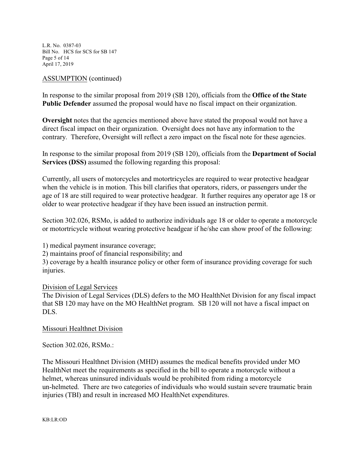L.R. No. 0387-03 Bill No. HCS for SCS for SB 147 Page 5 of 14 April 17, 2019

## ASSUMPTION (continued)

In response to the similar proposal from 2019 (SB 120), officials from the **Office of the State Public Defender** assumed the proposal would have no fiscal impact on their organization.

**Oversight** notes that the agencies mentioned above have stated the proposal would not have a direct fiscal impact on their organization. Oversight does not have any information to the contrary. Therefore, Oversight will reflect a zero impact on the fiscal note for these agencies.

In response to the similar proposal from 2019 (SB 120), officials from the **Department of Social Services (DSS)** assumed the following regarding this proposal:

Currently, all users of motorcycles and motortricycles are required to wear protective headgear when the vehicle is in motion. This bill clarifies that operators, riders, or passengers under the age of 18 are still required to wear protective headgear. It further requires any operator age 18 or older to wear protective headgear if they have been issued an instruction permit.

Section 302.026, RSMo, is added to authorize individuals age 18 or older to operate a motorcycle or motortricycle without wearing protective headgear if he/she can show proof of the following:

1) medical payment insurance coverage;

2) maintains proof of financial responsibility; and

3) coverage by a health insurance policy or other form of insurance providing coverage for such injuries.

# Division of Legal Services

The Division of Legal Services (DLS) defers to the MO HealthNet Division for any fiscal impact that SB 120 may have on the MO HealthNet program. SB 120 will not have a fiscal impact on DLS.

# Missouri Healthnet Division

Section 302.026, RSMo.:

The Missouri Healthnet Division (MHD) assumes the medical benefits provided under MO HealthNet meet the requirements as specified in the bill to operate a motorcycle without a helmet, whereas uninsured individuals would be prohibited from riding a motorcycle un-helmeted. There are two categories of individuals who would sustain severe traumatic brain injuries (TBI) and result in increased MO HealthNet expenditures.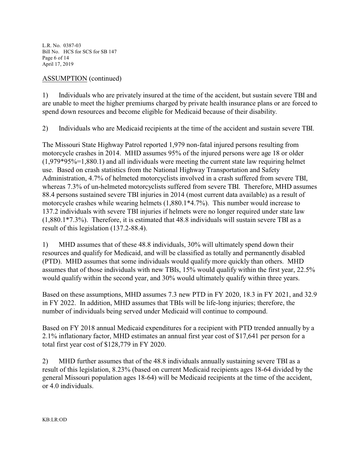L.R. No. 0387-03 Bill No. HCS for SCS for SB 147 Page 6 of 14 April 17, 2019

# ASSUMPTION (continued)

1) Individuals who are privately insured at the time of the accident, but sustain severe TBI and are unable to meet the higher premiums charged by private health insurance plans or are forced to spend down resources and become eligible for Medicaid because of their disability.

2) Individuals who are Medicaid recipients at the time of the accident and sustain severe TBI.

The Missouri State Highway Patrol reported 1,979 non-fatal injured persons resulting from motorcycle crashes in 2014. MHD assumes 95% of the injured persons were age 18 or older  $(1,979*95\% = 1,880.1)$  and all individuals were meeting the current state law requiring helmet use. Based on crash statistics from the National Highway Transportation and Safety Administration, 4.7% of helmeted motorcyclists involved in a crash suffered from severe TBI, whereas 7.3% of un-helmeted motorcyclists suffered from severe TBI. Therefore, MHD assumes 88.4 persons sustained severe TBI injuries in 2014 (most current data available) as a result of motorcycle crashes while wearing helmets (1,880.1\*4.7%). This number would increase to 137.2 individuals with severe TBI injuries if helmets were no longer required under state law (1,880.1\*7.3%). Therefore, it is estimated that 48.8 individuals will sustain severe TBI as a result of this legislation (137.2-88.4).

1) MHD assumes that of these 48.8 individuals, 30% will ultimately spend down their resources and qualify for Medicaid, and will be classified as totally and permanently disabled (PTD). MHD assumes that some individuals would qualify more quickly than others. MHD assumes that of those individuals with new TBIs, 15% would qualify within the first year, 22.5% would qualify within the second year, and 30% would ultimately qualify within three years.

Based on these assumptions, MHD assumes 7.3 new PTD in FY 2020, 18.3 in FY 2021, and 32.9 in FY 2022. In addition, MHD assumes that TBIs will be life-long injuries; therefore, the number of individuals being served under Medicaid will continue to compound.

Based on FY 2018 annual Medicaid expenditures for a recipient with PTD trended annually by a 2.1% inflationary factor, MHD estimates an annual first year cost of \$17,641 per person for a total first year cost of \$128,779 in FY 2020.

2) MHD further assumes that of the 48.8 individuals annually sustaining severe TBI as a result of this legislation, 8.23% (based on current Medicaid recipients ages 18-64 divided by the general Missouri population ages 18-64) will be Medicaid recipients at the time of the accident, or 4.0 individuals.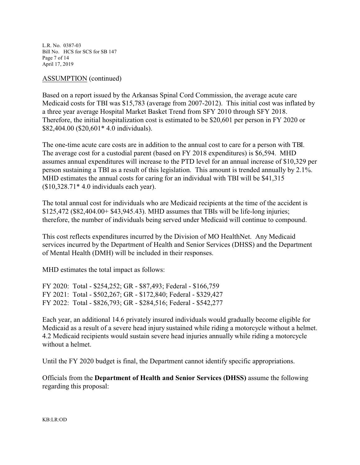L.R. No. 0387-03 Bill No. HCS for SCS for SB 147 Page 7 of 14 April 17, 2019

## ASSUMPTION (continued)

Based on a report issued by the Arkansas Spinal Cord Commission, the average acute care Medicaid costs for TBI was \$15,783 (average from 2007-2012). This initial cost was inflated by a three year average Hospital Market Basket Trend from SFY 2010 through SFY 2018. Therefore, the initial hospitalization cost is estimated to be \$20,601 per person in FY 2020 or \$82,404.00 (\$20,601\* 4.0 individuals).

The one-time acute care costs are in addition to the annual cost to care for a person with TBI. The average cost for a custodial parent (based on FY 2018 expenditures) is \$6,594. MHD assumes annual expenditures will increase to the PTD level for an annual increase of \$10,329 per person sustaining a TBI as a result of this legislation. This amount is trended annually by 2.1%. MHD estimates the annual costs for caring for an individual with TBI will be \$41,315 (\$10,328.71\* 4.0 individuals each year).

The total annual cost for individuals who are Medicaid recipients at the time of the accident is \$125,472 (\$82,404.00+ \$43,945.43). MHD assumes that TBIs will be life-long injuries; therefore, the number of individuals being served under Medicaid will continue to compound.

This cost reflects expenditures incurred by the Division of MO HealthNet. Any Medicaid services incurred by the Department of Health and Senior Services (DHSS) and the Department of Mental Health (DMH) will be included in their responses.

MHD estimates the total impact as follows:

FY 2020: Total - \$254,252; GR - \$87,493; Federal - \$166,759 FY 2021: Total - \$502,267; GR - \$172,840; Federal - \$329,427 FY 2022: Total - \$826,793; GR - \$284,516; Federal - \$542,277

Each year, an additional 14.6 privately insured individuals would gradually become eligible for Medicaid as a result of a severe head injury sustained while riding a motorcycle without a helmet. 4.2 Medicaid recipients would sustain severe head injuries annually while riding a motorcycle without a helmet.

Until the FY 2020 budget is final, the Department cannot identify specific appropriations.

Officials from the **Department of Health and Senior Services (DHSS)** assume the following regarding this proposal: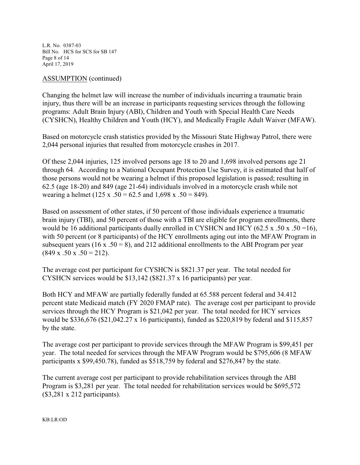L.R. No. 0387-03 Bill No. HCS for SCS for SB 147 Page 8 of 14 April 17, 2019

## ASSUMPTION (continued)

Changing the helmet law will increase the number of individuals incurring a traumatic brain injury, thus there will be an increase in participants requesting services through the following programs: Adult Brain Injury (ABI), Children and Youth with Special Health Care Needs (CYSHCN), Healthy Children and Youth (HCY), and Medically Fragile Adult Waiver (MFAW).

Based on motorcycle crash statistics provided by the Missouri State Highway Patrol, there were 2,044 personal injuries that resulted from motorcycle crashes in 2017.

Of these 2,044 injuries, 125 involved persons age 18 to 20 and 1,698 involved persons age 21 through 64. According to a National Occupant Protection Use Survey, it is estimated that half of those persons would not be wearing a helmet if this proposed legislation is passed; resulting in 62.5 (age 18-20) and 849 (age 21-64) individuals involved in a motorcycle crash while not wearing a helmet (125 x .50 = 62.5 and 1,698 x .50 = 849).

Based on assessment of other states, if 50 percent of those individuals experience a traumatic brain injury (TBI), and 50 percent of those with a TBI are eligible for program enrollments, there would be 16 additional participants dually enrolled in CYSHCN and HCY (62.5 x .50 x .50 = 16), with 50 percent (or 8 participants) of the HCY enrollments aging out into the MFAW Program in subsequent years (16 x .50 = 8), and 212 additional enrollments to the ABI Program per year  $(849 \times .50 \times .50 = 212).$ 

The average cost per participant for CYSHCN is \$821.37 per year. The total needed for CYSHCN services would be \$13,142 (\$821.37 x 16 participants) per year.

Both HCY and MFAW are partially federally funded at 65.588 percent federal and 34.412 percent state Medicaid match (FY 2020 FMAP rate). The average cost per participant to provide services through the HCY Program is \$21,042 per year. The total needed for HCY services would be \$336,676 (\$21,042.27 x 16 participants), funded as \$220,819 by federal and \$115,857 by the state.

The average cost per participant to provide services through the MFAW Program is \$99,451 per year. The total needed for services through the MFAW Program would be \$795,606 (8 MFAW participants x \$99,450.78), funded as \$518,759 by federal and \$276,847 by the state.

The current average cost per participant to provide rehabilitation services through the ABI Program is \$3,281 per year. The total needed for rehabilitation services would be \$695,572 (\$3,281 x 212 participants).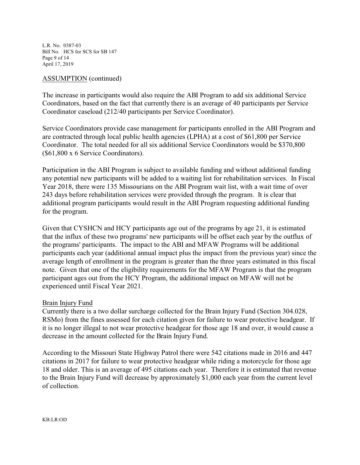L.R. No. 0387-03 Bill No. HCS for SCS for SB 147 Page 9 of 14 April 17, 2019

### ASSUMPTION (continued)

The increase in participants would also require the ABI Program to add six additional Service Coordinators, based on the fact that currently there is an average of 40 participants per Service Coordinator caseload (212/40 participants per Service Coordinator).

Service Coordinators provide case management for participants enrolled in the ABI Program and are contracted through local public health agencies (LPHA) at a cost of \$61,800 per Service Coordinator. The total needed for all six additional Service Coordinators would be \$370,800 (\$61,800 x 6 Service Coordinators).

Participation in the ABI Program is subject to available funding and without additional funding any potential new participants will be added to a waiting list for rehabilitation services. In Fiscal Year 2018, there were 135 Missourians on the ABI Program wait list, with a wait time of over 243 days before rehabilitation services were provided through the program. It is clear that additional program participants would result in the ABI Program requesting additional funding for the program.

Given that CYSHCN and HCY participants age out of the programs by age 21, it is estimated that the influx of these two programs' new participants will be offset each year by the outflux of the programs' participants. The impact to the ABI and MFAW Programs will be additional participants each year (additional annual impact plus the impact from the previous year) since the average length of enrollment in the program is greater than the three years estimated in this fiscal note. Given that one of the eligibility requirements for the MFAW Program is that the program participant ages out from the HCY Program, the additional impact on MFAW will not be experienced until Fiscal Year 2021.

#### Brain Injury Fund

Currently there is a two dollar surcharge collected for the Brain Injury Fund (Section 304.028, RSMo) from the fines assessed for each citation given for failure to wear protective headgear. If it is no longer illegal to not wear protective headgear for those age 18 and over, it would cause a decrease in the amount collected for the Brain Injury Fund.

According to the Missouri State Highway Patrol there were 542 citations made in 2016 and 447 citations in 2017 for failure to wear protective headgear while riding a motorcycle for those age 18 and older. This is an average of 495 citations each year. Therefore it is estimated that revenue to the Brain Injury Fund will decrease by approximately \$1,000 each year from the current level of collection.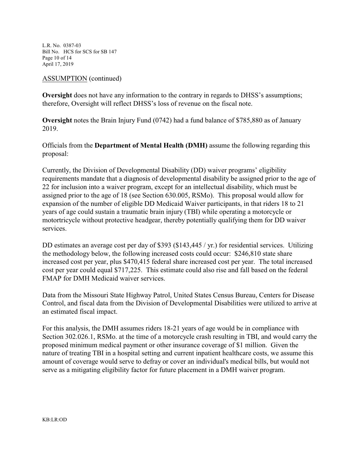L.R. No. 0387-03 Bill No. HCS for SCS for SB 147 Page 10 of 14 April 17, 2019

## ASSUMPTION (continued)

**Oversight** does not have any information to the contrary in regards to DHSS's assumptions; therefore, Oversight will reflect DHSS's loss of revenue on the fiscal note.

**Oversight** notes the Brain Injury Fund (0742) had a fund balance of \$785,880 as of January 2019.

Officials from the **Department of Mental Health (DMH)** assume the following regarding this proposal:

Currently, the Division of Developmental Disability (DD) waiver programs' eligibility requirements mandate that a diagnosis of developmental disability be assigned prior to the age of 22 for inclusion into a waiver program, except for an intellectual disability, which must be assigned prior to the age of 18 (see Section 630.005, RSMo). This proposal would allow for expansion of the number of eligible DD Medicaid Waiver participants, in that riders 18 to 21 years of age could sustain a traumatic brain injury (TBI) while operating a motorcycle or motortricycle without protective headgear, thereby potentially qualifying them for DD waiver services.

DD estimates an average cost per day of \$393 (\$143,445 / yr.) for residential services. Utilizing the methodology below, the following increased costs could occur: \$246,810 state share increased cost per year, plus \$470,415 federal share increased cost per year. The total increased cost per year could equal \$717,225. This estimate could also rise and fall based on the federal FMAP for DMH Medicaid waiver services.

Data from the Missouri State Highway Patrol, United States Census Bureau, Centers for Disease Control, and fiscal data from the Division of Developmental Disabilities were utilized to arrive at an estimated fiscal impact.

For this analysis, the DMH assumes riders 18-21 years of age would be in compliance with Section 302.026.1, RSMo. at the time of a motorcycle crash resulting in TBI, and would carry the proposed minimum medical payment or other insurance coverage of \$1 million. Given the nature of treating TBI in a hospital setting and current inpatient healthcare costs, we assume this amount of coverage would serve to defray or cover an individual's medical bills, but would not serve as a mitigating eligibility factor for future placement in a DMH waiver program.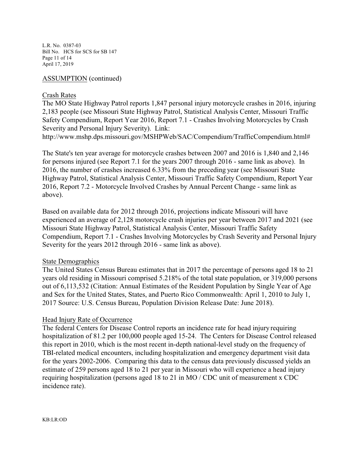L.R. No. 0387-03 Bill No. HCS for SCS for SB 147 Page 11 of 14 April 17, 2019

# ASSUMPTION (continued)

#### Crash Rates

The MO State Highway Patrol reports 1,847 personal injury motorcycle crashes in 2016, injuring 2,183 people (see Missouri State Highway Patrol, Statistical Analysis Center, Missouri Traffic Safety Compendium, Report Year 2016, Report 7.1 - Crashes Involving Motorcycles by Crash Severity and Personal Injury Severity). Link:

http://www.mshp.dps.missouri.gov/MSHPWeb/SAC/Compendium/TrafficCompendium.html#

The State's ten year average for motorcycle crashes between 2007 and 2016 is 1,840 and 2,146 for persons injured (see Report 7.1 for the years 2007 through 2016 - same link as above). In 2016, the number of crashes increased 6.33% from the preceding year (see Missouri State Highway Patrol, Statistical Analysis Center, Missouri Traffic Safety Compendium, Report Year 2016, Report 7.2 - Motorcycle Involved Crashes by Annual Percent Change - same link as above).

Based on available data for 2012 through 2016, projections indicate Missouri will have experienced an average of 2,128 motorcycle crash injuries per year between 2017 and 2021 (see Missouri State Highway Patrol, Statistical Analysis Center, Missouri Traffic Safety Compendium, Report 7.1 - Crashes Involving Motorcycles by Crash Severity and Personal Injury Severity for the years 2012 through 2016 - same link as above).

# State Demographics

The United States Census Bureau estimates that in 2017 the percentage of persons aged 18 to 21 years old residing in Missouri comprised 5.218% of the total state population, or 319,000 persons out of 6,113,532 (Citation: Annual Estimates of the Resident Population by Single Year of Age and Sex for the United States, States, and Puerto Rico Commonwealth: April 1, 2010 to July 1, 2017 Source: U.S. Census Bureau, Population Division Release Date: June 2018).

# Head Injury Rate of Occurrence

The federal Centers for Disease Control reports an incidence rate for head injury requiring hospitalization of 81.2 per 100,000 people aged 15-24. The Centers for Disease Control released this report in 2010, which is the most recent in-depth national-level study on the frequency of TBI-related medical encounters, including hospitalization and emergency department visit data for the years 2002-2006. Comparing this data to the census data previously discussed yields an estimate of 259 persons aged 18 to 21 per year in Missouri who will experience a head injury requiring hospitalization (persons aged 18 to 21 in MO / CDC unit of measurement x CDC incidence rate).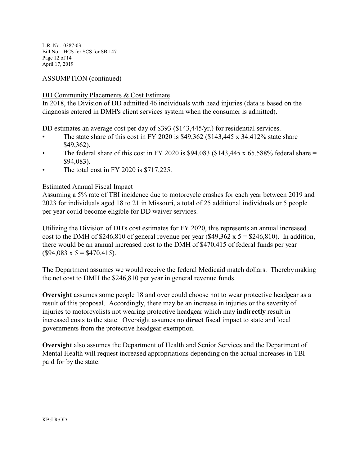L.R. No. 0387-03 Bill No. HCS for SCS for SB 147 Page 12 of 14 April 17, 2019

# ASSUMPTION (continued)

# DD Community Placements & Cost Estimate

In 2018, the Division of DD admitted 46 individuals with head injuries (data is based on the diagnosis entered in DMH's client services system when the consumer is admitted).

DD estimates an average cost per day of \$393 (\$143,445/yr.) for residential services.

- The state share of this cost in FY 2020 is \$49,362 (\$143,445 x 34.412% state share  $=$ \$49,362).
- The federal share of this cost in FY 2020 is \$94,083 (\$143,445 x 65.588% federal share  $=$ \$94,083).
- The total cost in FY 2020 is \$717,225.

# Estimated Annual Fiscal Impact

Assuming a 5% rate of TBI incidence due to motorcycle crashes for each year between 2019 and 2023 for individuals aged 18 to 21 in Missouri, a total of 25 additional individuals or 5 people per year could become eligible for DD waiver services.

Utilizing the Division of DD's cost estimates for FY 2020, this represents an annual increased cost to the DMH of \$246,810 of general revenue per year (\$49,362 x  $5 = $246,810$ ). In addition, there would be an annual increased cost to the DMH of \$470,415 of federal funds per year  $($94,083 \times 5 = $470,415).$ 

The Department assumes we would receive the federal Medicaid match dollars. Thereby making the net cost to DMH the \$246,810 per year in general revenue funds.

**Oversight** assumes some people 18 and over could choose not to wear protective headgear as a result of this proposal. Accordingly, there may be an increase in injuries or the severity of injuries to motorcyclists not wearing protective headgear which may **indirectly** result in increased costs to the state. Oversight assumes no **direct** fiscal impact to state and local governments from the protective headgear exemption.

**Oversight** also assumes the Department of Health and Senior Services and the Department of Mental Health will request increased appropriations depending on the actual increases in TBI paid for by the state.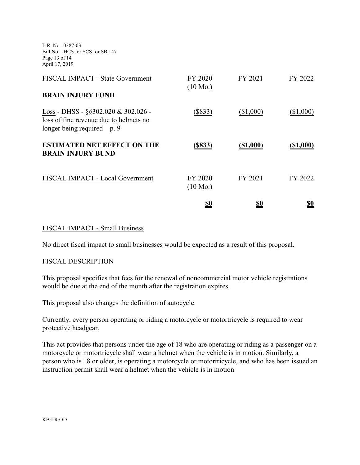L.R. No. 0387-03 Bill No. HCS for SCS for SB 147 Page 13 of 14 April 17, 2019

| FISCAL IMPACT - State Government                                                                                     | FY 2020<br>$(10 \text{ Mo.})$ | FY 2021     | FY 2022     |
|----------------------------------------------------------------------------------------------------------------------|-------------------------------|-------------|-------------|
| <b>BRAIN INJURY FUND</b>                                                                                             |                               |             |             |
| $Loss - DHSS - \frac{65302.020 \& 302.026 -$<br>loss of fine revenue due to helmets no<br>longer being required p. 9 | $(\$833)$                     | (\$1,000)   | (\$1,000)   |
| <b>ESTIMATED NET EFFECT ON THE</b><br><b>BRAIN INJURY BUND</b>                                                       | (S833)                        | $(\$1,000)$ | $(\$1,000)$ |
| FISCAL IMPACT - Local Government                                                                                     | FY 2020<br>$(10 \text{ Mo.})$ | FY 2021     | FY 2022     |
|                                                                                                                      | <u>\$0</u>                    | <u>\$0</u>  | <u>\$0</u>  |

# FISCAL IMPACT - Small Business

No direct fiscal impact to small businesses would be expected as a result of this proposal.

# FISCAL DESCRIPTION

This proposal specifies that fees for the renewal of noncommercial motor vehicle registrations would be due at the end of the month after the registration expires.

This proposal also changes the definition of autocycle.

Currently, every person operating or riding a motorcycle or motortricycle is required to wear protective headgear.

This act provides that persons under the age of 18 who are operating or riding as a passenger on a motorcycle or motortricycle shall wear a helmet when the vehicle is in motion. Similarly, a person who is 18 or older, is operating a motorcycle or motortricycle, and who has been issued an instruction permit shall wear a helmet when the vehicle is in motion.